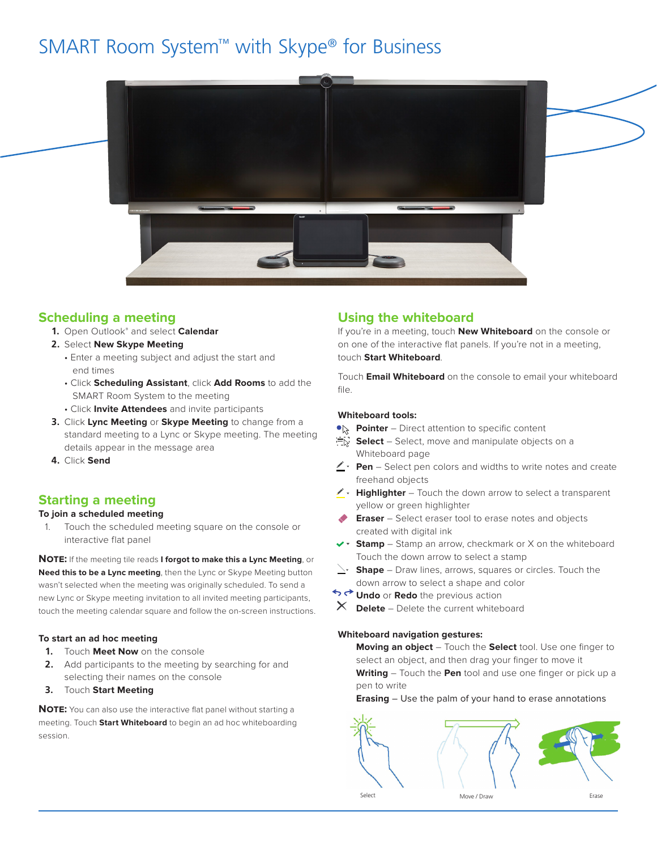# SMART Room System™ with Skype® for Business



### **Scheduling a meeting**

- **1.** Open Outlook® and select **Calendar**
- **2.** Select **New Skype Meeting**
	- Enter a meeting subject and adjust the start and end times
	- Click **Scheduling Assistant**, click **Add Rooms** to add the SMART Room System to the meeting
	- Click **Invite Attendees** and invite participants
- **3.** Click **Lync Meeting** or **Skype Meeting** to change from a standard meeting to a Lync or Skype meeting. The meeting details appear in the message area
- **4.** Click **Send**

# **Starting a meeting**

### **To join a scheduled meeting**

1. Touch the scheduled meeting square on the console or interactive flat panel

**Note:** If the meeting tile reads **I forgot to make this a Lync Meeting**, or **Need this to be a Lync meeting**, then the Lync or Skype Meeting button wasn't selected when the meeting was originally scheduled. To send a new Lync or Skype meeting invitation to all invited meeting participants, touch the meeting calendar square and follow the on-screen instructions.

### **To start an ad hoc meeting**

- **1.** Touch **Meet Now** on the console
- **2.** Add participants to the meeting by searching for and selecting their names on the console
- **3.** Touch **Start Meeting**

**NOTE:** You can also use the interactive flat panel without starting a meeting. Touch **Start Whiteboard** to begin an ad hoc whiteboarding session.

# **Using the whiteboard**

If you're in a meeting, touch **New Whiteboard** on the console or on one of the interactive flat panels. If you're not in a meeting, touch **Start Whiteboard**.

Touch **Email Whiteboard** on the console to email your whiteboard file.

### **Whiteboard tools:**

- **Provinter** Direct attention to specific content
- $\equiv$ **Select** – Select, move and manipulate objects on a Whiteboard page
- **∠ Pen** Select pen colors and widths to write notes and create freehand objects
- K + Highlighter Touch the down arrow to select a transparent yellow or green highlighter
- **Eraser** Select eraser tool to erase notes and objects created with digital ink
- **Extemp** Stamp an arrow, checkmark or X on the whiteboard Touch the down arrow to select a stamp
- **Shape** Draw lines, arrows, squares or circles. Touch the down arrow to select a shape and color
- **Undo** or **Redo** the previous action
- $\times$ **Delete** – Delete the current whiteboard

### **Whiteboard navigation gestures:**

**Moving an object** – Touch the **Select** tool. Use one finger to select an object, and then drag your finger to move it **Writing** – Touch the **Pen** tool and use one finger or pick up a pen to write

#### **Erasing** – Use the palm of your hand to erase annotations